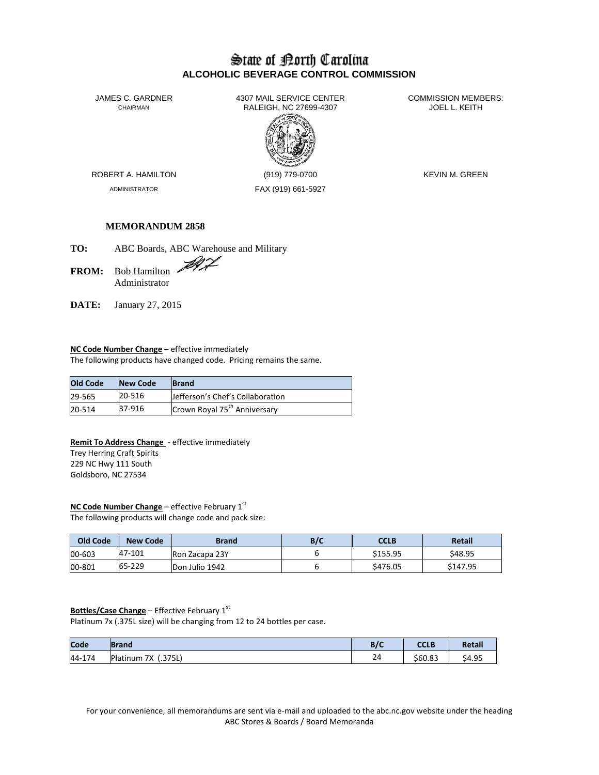# State of Borth Carolina **ALCOHOLIC BEVERAGE CONTROL COMMISSION**

JAMES C. GARDNER 4307 MAIL SERVICE CENTER<br>CHAIRMAN CHAIRMAN RALEIGH, NC 27699-4307 RALEIGH, NC 27699-4307



ADMINISTRATOR FAX (919) 661-5927

ROBERT A. HAMILTON (919) 779-0700 KEVIN M. GREEN

# **MEMORANDUM 2858**

**TO:** ABC Boards, ABC Warehouse and Military

FROM: Bob Hamilton Administrator

**DATE:** January 27, 2015

## **NC Code Number Change** – effective immediately

The following products have changed code. Pricing remains the same.

| <b>Old Code</b> | <b>New Code</b> | <b>Brand</b>                             |
|-----------------|-----------------|------------------------------------------|
| 29-565          | 20-516          | Jefferson's Chef's Collaboration         |
| 20-514          | 37-916          | Crown Royal 75 <sup>th</sup> Anniversary |

#### **Remit To Address Change** - effective immediately

Trey Herring Craft Spirits 229 NC Hwy 111 South Goldsboro, NC 27534

#### **NC Code Number Change** – effective February 1st

The following products will change code and pack size:

| Old Code | <b>New Code</b> | Brand                 | B/C | CCLB     | Retail   |
|----------|-----------------|-----------------------|-----|----------|----------|
| 00-603   | 47-101          | <b>Ron Zacapa 23Y</b> |     | \$155.95 | \$48.95  |
| 00-801   | 65-229          | Don Julio 1942        |     | \$476.05 | \$147.95 |

#### **Bottles/Case Change** – Effective February 1st

Platinum 7x (.375L size) will be changing from 12 to 24 bottles per case.

| Code   | <b>IBrand</b>          | B/C | <b>CCLB</b> | <b>Retail</b> |
|--------|------------------------|-----|-------------|---------------|
| 44-174 | (.375L)<br>Platinum 7X | 24  | \$60.83     | \$4.95        |

For your convenience, all memorandums are sent via e-mail and uploaded to the abc.nc.gov website under the heading ABC Stores & Boards / Board Memoranda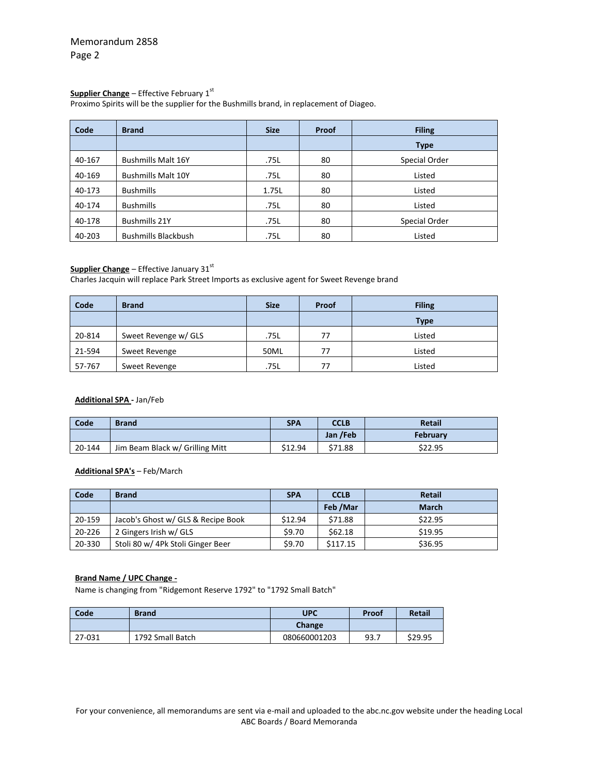## **Supplier Change** – Effective February 1 st

Proximo Spirits will be the supplier for the Bushmills brand, in replacement of Diageo.

| Code   | <b>Brand</b>               | <b>Size</b> | Proof | <b>Filing</b> |
|--------|----------------------------|-------------|-------|---------------|
|        |                            |             |       | <b>Type</b>   |
| 40-167 | <b>Bushmills Malt 16Y</b>  | .75L        | 80    | Special Order |
| 40-169 | <b>Bushmills Malt 10Y</b>  | .75L        | 80    | Listed        |
| 40-173 | <b>Bushmills</b>           | 1.75L       | 80    | Listed        |
| 40-174 | <b>Bushmills</b>           | .75L        | 80    | Listed        |
| 40-178 | <b>Bushmills 21Y</b>       | .75L        | 80    | Special Order |
| 40-203 | <b>Bushmills Blackbush</b> | .75L        | 80    | Listed        |

## **Supplier Change** – Effective January 31<sup>st</sup>

Charles Jacquin will replace Park Street Imports as exclusive agent for Sweet Revenge brand

| Code   | <b>Brand</b>         | <b>Size</b> | Proof | <b>Filing</b> |
|--------|----------------------|-------------|-------|---------------|
|        |                      |             |       | Type          |
| 20-814 | Sweet Revenge w/ GLS | .75L        | 77    | Listed        |
| 21-594 | Sweet Revenge        | 50ML        | 77    | Listed        |
| 57-767 | Sweet Revenge        | .75L        | 77    | Listed        |

#### **Additional SPA -** Jan/Feb

| Code   | <b>Brand</b>                    | <b>SPA</b> | <b>CCLB</b> | <b>Retail</b>   |
|--------|---------------------------------|------------|-------------|-----------------|
|        |                                 |            | Jan /Feb    | <b>February</b> |
| 20-144 | Jim Beam Black w/ Grilling Mitt | \$12.94    | \$71.88     | \$22.95         |

## **Additional SPA's** – Feb/March

| Code   | <b>Brand</b>                       | <b>SPA</b> | <b>CCLB</b> | <b>Retail</b> |
|--------|------------------------------------|------------|-------------|---------------|
|        |                                    |            | Feb /Mar    | <b>March</b>  |
| 20-159 | Jacob's Ghost w/ GLS & Recipe Book | \$12.94    | \$71.88     | \$22.95       |
| 20-226 | 2 Gingers Irish w/ GLS             | \$9.70     | \$62.18     | \$19.95       |
| 20-330 | Stoli 80 w/ 4Pk Stoli Ginger Beer  | \$9.70     | \$117.15    | \$36.95       |

#### **Brand Name / UPC Change -**

Name is changing from "Ridgemont Reserve 1792" to "1792 Small Batch"

| Code   | <b>Brand</b>     | UPC          | Proof | <b>Retail</b> |
|--------|------------------|--------------|-------|---------------|
|        |                  | Change       |       |               |
| 27-031 | 1792 Small Batch | 080660001203 | 93.7  | \$29.95       |